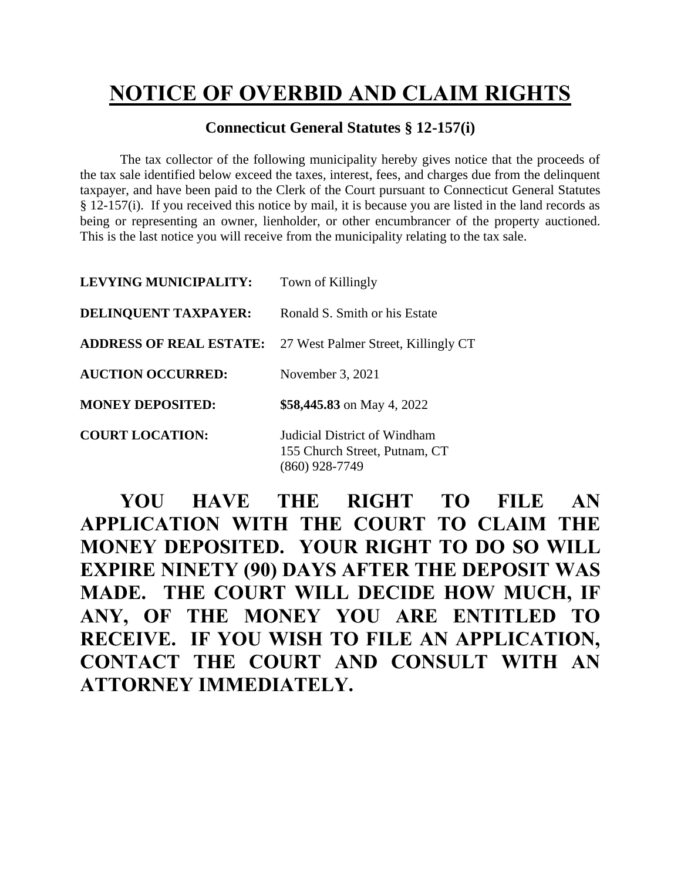## **NOTICE OF OVERBID AND CLAIM RIGHTS**

## **Connecticut General Statutes § 12-157(i)**

The tax collector of the following municipality hereby gives notice that the proceeds of the tax sale identified below exceed the taxes, interest, fees, and charges due from the delinquent taxpayer, and have been paid to the Clerk of the Court pursuant to Connecticut General Statutes § 12-157(i). If you received this notice by mail, it is because you are listed in the land records as being or representing an owner, lienholder, or other encumbrancer of the property auctioned. This is the last notice you will receive from the municipality relating to the tax sale.

| LEVYING MUNICIPALITY:          | Town of Killingly                                             |
|--------------------------------|---------------------------------------------------------------|
| DELINQUENT TAXPAYER:           | Ronald S. Smith or his Estate                                 |
| <b>ADDRESS OF REAL ESTATE:</b> | 27 West Palmer Street, Killingly CT                           |
| <b>AUCTION OCCURRED:</b>       | November 3, 2021                                              |
| <b>MONEY DEPOSITED:</b>        | \$58,445.83 on May 4, 2022                                    |
| <b>COURT LOCATION:</b>         | Judicial District of Windham<br>155 Church Street, Putnam, CT |

**YOU HAVE THE RIGHT TO FILE AN APPLICATION WITH THE COURT TO CLAIM THE MONEY DEPOSITED. YOUR RIGHT TO DO SO WILL EXPIRE NINETY (90) DAYS AFTER THE DEPOSIT WAS MADE. THE COURT WILL DECIDE HOW MUCH, IF ANY, OF THE MONEY YOU ARE ENTITLED TO RECEIVE. IF YOU WISH TO FILE AN APPLICATION, CONTACT THE COURT AND CONSULT WITH AN ATTORNEY IMMEDIATELY.**

(860) 928-7749